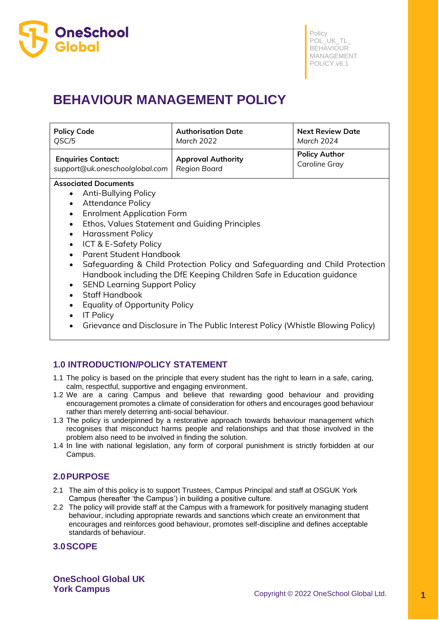

# **BEHAVIOUR MANAGEMENT POLICY**

| <b>Policy Code</b>             | <b>Authorisation Date</b> | <b>Next Review Date</b> |
|--------------------------------|---------------------------|-------------------------|
| QSC/5                          | March 2022                | March 2024              |
| <b>Enquiries Contact:</b>      | <b>Approval Authority</b> | <b>Policy Author</b>    |
| support@uk.oneschoolglobal.com | <b>Region Board</b>       | <b>Caroline Gray</b>    |

#### **Associated Documents**

- Anti-Bullying Policy
- Attendance Policy
- Enrolment Application Form
- Ethos, Values Statement and Guiding Principles
- Harassment Policy
- ICT & E-Safety Policy
- Parent Student Handbook
- Safeguarding & Child Protection Policy and Safeguarding and Child Protection Handbook including the DfE Keeping Children Safe in Education guidance
- SEND Learning Support Policy
- Staff Handbook
- Equality of Opportunity Policy
- IT Policy
- Grievance and Disclosure in The Public Interest Policy (Whistle Blowing Policy)

# **1.0 INTRODUCTION/POLICY STATEMENT**

- 1.1 The policy is based on the principle that every student has the right to learn in a safe, caring, calm, respectful, supportive and engaging environment.
- 1.2 We are a caring Campus and believe that rewarding good behaviour and providing encouragement promotes a climate of consideration for others and encourages good behaviour rather than merely deterring anti-social behaviour.
- 1.3 The policy is underpinned by a restorative approach towards behaviour management which recognises that misconduct harms people and relationships and that those involved in the problem also need to be involved in finding the solution.
- 1.4 In line with national legislation, any form of corporal punishment is strictly forbidden at our Campus.

## **2.0PURPOSE**

- 2.1 The aim of this policy is to support Trustees, Campus Principal and staff at OSGUK York Campus (hereafter 'the Campus') in building a positive culture.
- 2.2 The policy will provide staff at the Campus with a framework for positively managing student behaviour, including appropriate rewards and sanctions which create an environment that encourages and reinforces good behaviour, promotes self-discipline and defines acceptable standards of behaviour.

# **3.0SCOPE**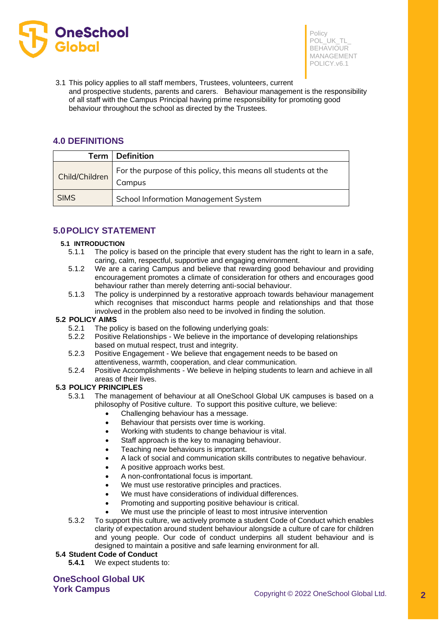

3.1 This policy applies to all staff members, Trustees, volunteers, current and prospective students, parents and carers. Behaviour management is the responsibility of all staff with the Campus Principal having prime responsibility for promoting good behaviour throughout the school as directed by the Trustees.

## **4.0 DEFINITIONS**

| Term           | <b>Definition</b>                                                        |
|----------------|--------------------------------------------------------------------------|
| Child/Children | For the purpose of this policy, this means all students at the<br>Campus |
| <b>SIMS</b>    | <b>School Information Management System</b>                              |

# **5.0POLICY STATEMENT**

#### **5.1 INTRODUCTION**

- 5.1.1 The policy is based on the principle that every student has the right to learn in a safe, caring, calm, respectful, supportive and engaging environment.
- 5.1.2 We are a caring Campus and believe that rewarding good behaviour and providing encouragement promotes a climate of consideration for others and encourages good behaviour rather than merely deterring anti-social behaviour.
- 5.1.3 The policy is underpinned by a restorative approach towards behaviour management which recognises that misconduct harms people and relationships and that those involved in the problem also need to be involved in finding the solution.

#### **5.2 POLICY AIMS**

- 5.2.1 The policy is based on the following underlying goals:
- 5.2.2 Positive Relationships We believe in the importance of developing relationships based on mutual respect, trust and integrity.
- 5.2.3 Positive Engagement We believe that engagement needs to be based on attentiveness, warmth, cooperation, and clear communication.
- 5.2.4 Positive Accomplishments We believe in helping students to learn and achieve in all areas of their lives.

#### **5.3 POLICY PRINCIPLES**

- 5.3.1 The management of behaviour at all OneSchool Global UK campuses is based on a philosophy of Positive culture. To support this positive culture, we believe:
	- Challenging behaviour has a message.
	- Behaviour that persists over time is working.
	- Working with students to change behaviour is vital.
	- Staff approach is the key to managing behaviour.
	- Teaching new behaviours is important.
	- A lack of social and communication skills contributes to negative behaviour.
	- A positive approach works best.
	- A non-confrontational focus is important.
	- We must use restorative principles and practices.
	- We must have considerations of individual differences.
	- Promoting and supporting positive behaviour is critical.
	- We must use the principle of least to most intrusive intervention
- 5.3.2 To support this culture, we actively promote a student Code of Conduct which enables clarity of expectation around student behaviour alongside a culture of care for children and young people. Our code of conduct underpins all student behaviour and is designed to maintain a positive and safe learning environment for all.

#### **5.4 Student Code of Conduct**

**5.4.1** We expect students to: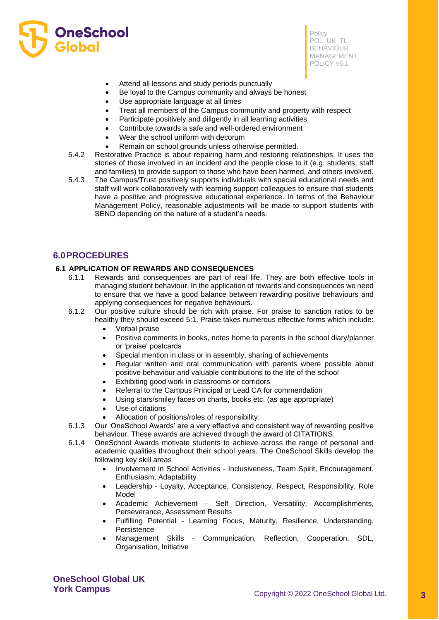

- Attend all lessons and study periods punctually
- Be loyal to the Campus community and always be honest
- Use appropriate language at all times
- Treat all members of the Campus community and property with respect
- Participate positively and diligently in all learning activities
- Contribute towards a safe and well-ordered environment
- Wear the school uniform with decorum
- Remain on school grounds unless otherwise permitted.
- 5.4.2 Restorative Practice is about repairing harm and restoring relationships. It uses the stories of those involved in an incident and the people close to it (e.g. students, staff and families) to provide support to those who have been harmed, and others involved.
- 5.4.3 The Campus/Trust positively supports individuals with special educational needs and staff will work collaboratively with learning support colleagues to ensure that students have a positive and progressive educational experience. In terms of the Behaviour Management Policy, reasonable adjustments will be made to support students with SEND depending on the nature of a student's needs.

## **6.0PROCEDURES**

#### **6.1 APPLICATION OF REWARDS AND CONSEQUENCES**

- 6.1.1 Rewards and consequences are part of real life. They are both effective tools in managing student behaviour. In the application of rewards and consequences we need to ensure that we have a good balance between rewarding positive behaviours and applying consequences for negative behaviours.
- 6.1.2 Our positive culture should be rich with praise. For praise to sanction ratios to be healthy they should exceed 5:1. Praise takes numerous effective forms which include:
	- Verbal praise
	- Positive comments in books, notes home to parents in the school diary/planner or 'praise' postcards
	- Special mention in class or in assembly, sharing of achievements
	- Regular written and oral communication with parents where possible about positive behaviour and valuable contributions to the life of the school
	- Exhibiting good work in classrooms or corridors
	- Referral to the Campus Principal or Lead CA for commendation
	- Using stars/smiley faces on charts, books etc. (as age appropriate)
	- Use of citations
	- Allocation of positions/roles of responsibility.
- 6.1.3 Our 'OneSchool Awards' are a very effective and consistent way of rewarding positive behaviour. These awards are achieved through the award of CITATIONS.
- 6.1.4 OneSchool Awards motivate students to achieve across the range of personal and academic qualities throughout their school years. The OneSchool Skills develop the following key skill areas
	- Involvement in School Activities Inclusiveness, Team Spirit, Encouragement, Enthusiasm, Adaptability
	- Leadership Loyalty, Acceptance, Consistency, Respect, Responsibility, Role Model
	- Academic Achievement Self Direction, Versatility, Accomplishments, Perseverance, Assessment Results
	- Fulfilling Potential Learning Focus, Maturity, Resilience, Understanding, Persistence
	- Management Skills Communication, Reflection, Cooperation, SDL, Organisation, Initiative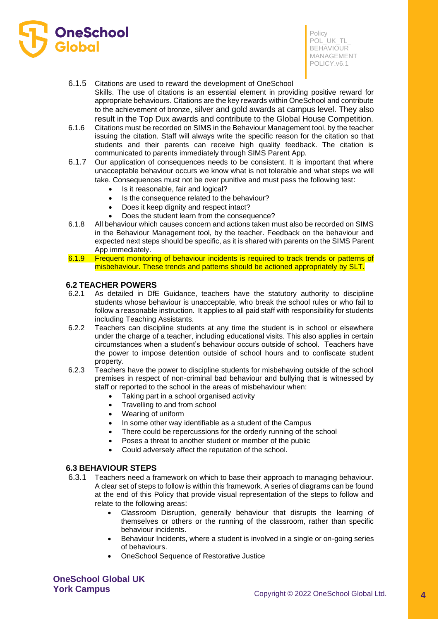

## 6.1.5 Citations are used to reward the development of OneSchool

- Skills. The use of citations is an essential element in providing positive reward for appropriate behaviours. Citations are the key rewards within OneSchool and contribute to the achievement of bronze, silver and gold awards at campus level. They also result in the Top Dux awards and contribute to the Global House Competition.
- 6.1.6 Citations must be recorded on SIMS in the Behaviour Management tool, by the teacher issuing the citation. Staff will always write the specific reason for the citation so that students and their parents can receive high quality feedback. The citation is communicated to parents immediately through SIMS Parent App.
- 6.1.7 Our application of consequences needs to be consistent. It is important that where unacceptable behaviour occurs we know what is not tolerable and what steps we will take. Consequences must not be over punitive and must pass the following test:
	- Is it reasonable, fair and logical?
	- Is the consequence related to the behaviour?
	- Does it keep dignity and respect intact?
	- Does the student learn from the consequence?
- 6.1.8 All behaviour which causes concern and actions taken must also be recorded on SIMS in the Behaviour Management tool, by the teacher. Feedback on the behaviour and expected next steps should be specific, as it is shared with parents on the SIMS Parent App immediately.
- 6.1.9 Frequent monitoring of behaviour incidents is required to track trends or patterns of misbehaviour. These trends and patterns should be actioned appropriately by SLT.

#### **6.2 TEACHER POWERS**

- 6.2.1 As detailed in DfE Guidance, teachers have the statutory authority to discipline students whose behaviour is unacceptable, who break the school rules or who fail to follow a reasonable instruction. It applies to all paid staff with responsibility for students including Teaching Assistants.
- 6.2.2 Teachers can discipline students at any time the student is in school or elsewhere under the charge of a teacher, including educational visits. This also applies in certain circumstances when a student's behaviour occurs outside of school. Teachers have the power to impose detention outside of school hours and to confiscate student property.
- 6.2.3 Teachers have the power to discipline students for misbehaving outside of the school premises in respect of non-criminal bad behaviour and bullying that is witnessed by staff or reported to the school in the areas of misbehaviour when:
	- Taking part in a school organised activity
	- Travelling to and from school
	- Wearing of uniform
	- In some other way identifiable as a student of the Campus
	- There could be repercussions for the orderly running of the school
	- Poses a threat to another student or member of the public
	- Could adversely affect the reputation of the school.

#### **6.3 BEHAVIOUR STEPS**

- 6.3.1 Teachers need a framework on which to base their approach to managing behaviour. A clear set of steps to follow is within this framework. A series of diagrams can be found at the end of this Policy that provide visual representation of the steps to follow and relate to the following areas:
	- Classroom Disruption, generally behaviour that disrupts the learning of themselves or others or the running of the classroom, rather than specific behaviour incidents.
	- Behaviour Incidents, where a student is involved in a single or on-going series of behaviours.
	- OneSchool Sequence of Restorative Justice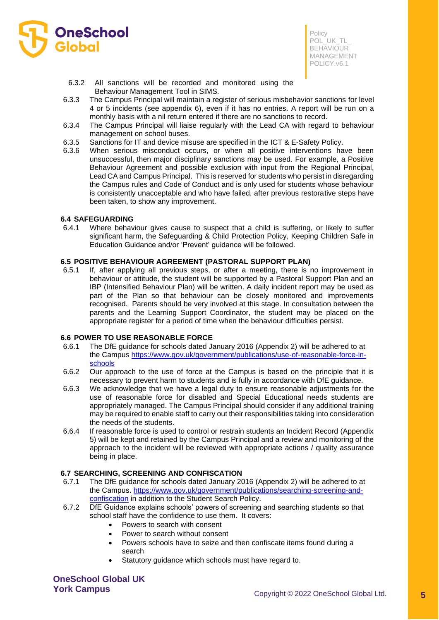

- 6.3.2 All sanctions will be recorded and monitored using the Behaviour Management Tool in SIMS.
- 6.3.3 The Campus Principal will maintain a register of serious misbehavior sanctions for level 4 or 5 incidents (see appendix 6), even if it has no entries. A report will be run on a monthly basis with a nil return entered if there are no sanctions to record.
- 6.3.4 The Campus Principal will liaise regularly with the Lead CA with regard to behaviour management on school buses.
- 6.3.5 Sanctions for IT and device misuse are specified in the ICT & E-Safety Policy.
- 6.3.6 When serious misconduct occurs, or when all positive interventions have been unsuccessful, then major disciplinary sanctions may be used. For example, a Positive Behaviour Agreement and possible exclusion with input from the Regional Principal, Lead CA and Campus Principal. This is reserved for students who persist in disregarding the Campus rules and Code of Conduct and is only used for students whose behaviour is consistently unacceptable and who have failed, after previous restorative steps have been taken, to show any improvement.

#### **6.4 SAFEGUARDING**

6.4.1 Where behaviour gives cause to suspect that a child is suffering, or likely to suffer significant harm, the Safeguarding & Child Protection Policy, Keeping Children Safe in Education Guidance and/or 'Prevent' guidance will be followed.

## **6.5 POSITIVE BEHAVIOUR AGREEMENT (PASTORAL SUPPORT PLAN)**

6.5.1 If, after applying all previous steps, or after a meeting, there is no improvement in behaviour or attitude, the student will be supported by a Pastoral Support Plan and an IBP (Intensified Behaviour Plan) will be written. A daily incident report may be used as part of the Plan so that behaviour can be closely monitored and improvements recognised. Parents should be very involved at this stage. In consultation between the parents and the Learning Support Coordinator, the student may be placed on the appropriate register for a period of time when the behaviour difficulties persist.

#### **6.6 POWER TO USE REASONABLE FORCE**

- 6.6.1 The DfE guidance for schools dated January 2016 (Appendix 2) will be adhered to at the Campus [https://www.gov.uk/government/publications/use-of-reasonable-force-in](https://www.gov.uk/government/publications/use-of-reasonable-force-in-schools)[schools](https://www.gov.uk/government/publications/use-of-reasonable-force-in-schools)
- 6.6.2 Our approach to the use of force at the Campus is based on the principle that it is necessary to prevent harm to students and is fully in accordance with DfE guidance.
- 6.6.3 We acknowledge that we have a legal duty to ensure reasonable adjustments for the use of reasonable force for disabled and Special Educational needs students are appropriately managed. The Campus Principal should consider if any additional training may be required to enable staff to carry out their responsibilities taking into consideration the needs of the students.
- 6.6.4 If reasonable force is used to control or restrain students an Incident Record (Appendix 5) will be kept and retained by the Campus Principal and a review and monitoring of the approach to the incident will be reviewed with appropriate actions / quality assurance being in place.

#### **6.7 SEARCHING, SCREENING AND CONFISCATION**

- 6.7.1 The DfE guidance for schools dated January 2016 (Appendix 2) will be adhered to at the Campus. [https://www.gov.uk/government/publications/searching-screening-and](https://www.gov.uk/government/publications/searching-screening-and-confiscation)[confiscation](https://www.gov.uk/government/publications/searching-screening-and-confiscation) in addition to the Student Search Policy.
- 6.7.2 DfE Guidance explains schools' powers of screening and searching students so that school staff have the confidence to use them. It covers:
	- Powers to search with consent
	- Power to search without consent
	- Powers schools have to seize and then confiscate items found during a search
	- Statutory guidance which schools must have regard to.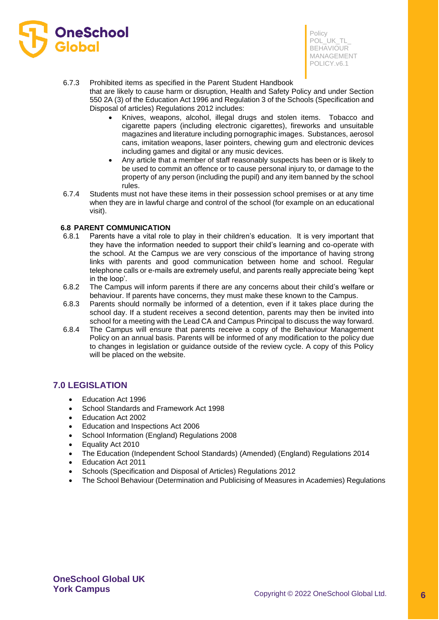

#### 6.7.3 Prohibited items as specified in the Parent Student Handbook

that are likely to cause harm or disruption, Health and Safety Policy and under Section 550 2A (3) of the Education Act 1996 and Regulation 3 of the Schools (Specification and Disposal of articles) Regulations 2012 includes:

- Knives, weapons, alcohol, illegal drugs and stolen items. Tobacco and cigarette papers (including electronic cigarettes), fireworks and unsuitable magazines and literature including pornographic images. Substances, aerosol cans, imitation weapons, laser pointers, chewing gum and electronic devices including games and digital or any music devices.
- Any article that a member of staff reasonably suspects has been or is likely to be used to commit an offence or to cause personal injury to, or damage to the property of any person (including the pupil) and any item banned by the school rules.
- 6.7.4 Students must not have these items in their possession school premises or at any time when they are in lawful charge and control of the school (for example on an educational visit).

## **6.8 PARENT COMMUNICATION**

- 6.8.1 Parents have a vital role to play in their children's education. It is very important that they have the information needed to support their child's learning and co-operate with the school. At the Campus we are very conscious of the importance of having strong links with parents and good communication between home and school. Regular telephone calls or e-mails are extremely useful, and parents really appreciate being 'kept in the loop'.
- 6.8.2 The Campus will inform parents if there are any concerns about their child's welfare or behaviour. If parents have concerns, they must make these known to the Campus.
- 6.8.3 Parents should normally be informed of a detention, even if it takes place during the school day. If a student receives a second detention, parents may then be invited into school for a meeting with the Lead CA and Campus Principal to discuss the way forward.
- 6.8.4 The Campus will ensure that parents receive a copy of the Behaviour Management Policy on an annual basis. Parents will be informed of any modification to the policy due to changes in legislation or guidance outside of the review cycle. A copy of this Policy will be placed on the website.

## **7.0 LEGISLATION**

- Education Act 1996
- School Standards and Framework Act 1998
- Education Act 2002
- Education and Inspections Act 2006
- School Information (England) Regulations 2008
- Equality Act 2010
- The Education (Independent School Standards) (Amended) (England) Regulations 2014
- Education Act 2011
- Schools (Specification and Disposal of Articles) Regulations 2012
- The School Behaviour (Determination and Publicising of Measures in Academies) Regulations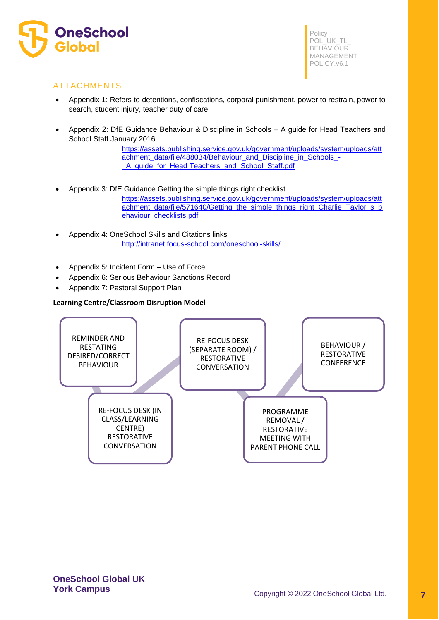

# ATTACHMENTS

- Appendix 1: Refers to detentions, confiscations, corporal punishment, power to restrain, power to search, student injury, teacher duty of care
- Appendix 2: DfE Guidance Behaviour & Discipline in Schools A guide for Head Teachers and School Staff January 2016

[https://assets.publishing.service.gov.uk/government/uploads/system/uploads/att](https://assets.publishing.service.gov.uk/government/uploads/system/uploads/attachment_data/file/488034/Behaviour_and_Discipline_in_Schools_-_A_guide_for_headteachers_and_School_Staff.pdf) [achment\\_data/file/488034/Behaviour\\_and\\_Discipline\\_in\\_Schools\\_-](https://assets.publishing.service.gov.uk/government/uploads/system/uploads/attachment_data/file/488034/Behaviour_and_Discipline_in_Schools_-_A_guide_for_headteachers_and_School_Staff.pdf) [\\_A\\_guide\\_for\\_Head Teachers\\_and\\_School\\_Staff.pdf](https://assets.publishing.service.gov.uk/government/uploads/system/uploads/attachment_data/file/488034/Behaviour_and_Discipline_in_Schools_-_A_guide_for_headteachers_and_School_Staff.pdf)

- Appendix 3: DfE Guidance Getting the simple things right checklist [https://assets.publishing.service.gov.uk/government/uploads/system/uploads/att](https://assets.publishing.service.gov.uk/government/uploads/system/uploads/attachment_data/file/571640/Getting_the_simple_things_right_Charlie_Taylor_s_behaviour_checklists.pdf) [achment\\_data/file/571640/Getting\\_the\\_simple\\_things\\_right\\_Charlie\\_Taylor\\_s\\_b](https://assets.publishing.service.gov.uk/government/uploads/system/uploads/attachment_data/file/571640/Getting_the_simple_things_right_Charlie_Taylor_s_behaviour_checklists.pdf) [ehaviour\\_checklists.pdf](https://assets.publishing.service.gov.uk/government/uploads/system/uploads/attachment_data/file/571640/Getting_the_simple_things_right_Charlie_Taylor_s_behaviour_checklists.pdf)
- Appendix 4: OneSchool Skills and Citations links <http://intranet.focus-school.com/oneschool-skills/>
- Appendix 5: Incident Form Use of Force
- Appendix 6: Serious Behaviour Sanctions Record
- Appendix 7: Pastoral Support Plan

## **Learning Centre/Classroom Disruption Model**

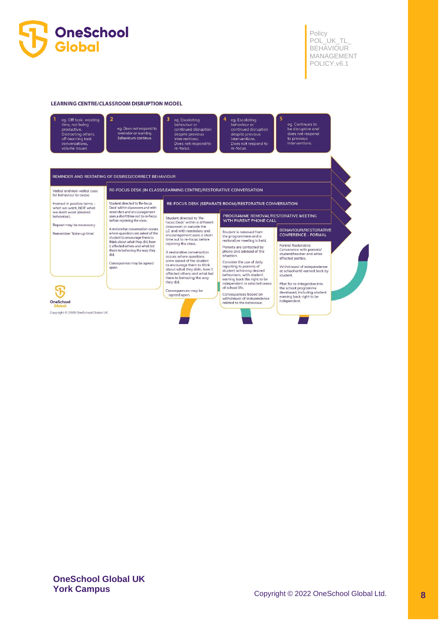

#### **LEARNING CENTRE/CLASSROOM DISRUPTION MODEL**



eg. Does not respond to reminder or warning Behaviours continue

eg. Escalating<br>behaviour or continued disruption despite previous<br>interventions. Does not respond to<br>re-focus.

eg. Escalating<br>behaviour or continued disruption despite previous<br>interventions. Does not respond to re-focus

eg. Continues to<br>be disruptive and<br>does not respond<br>to previous<br>interventions.

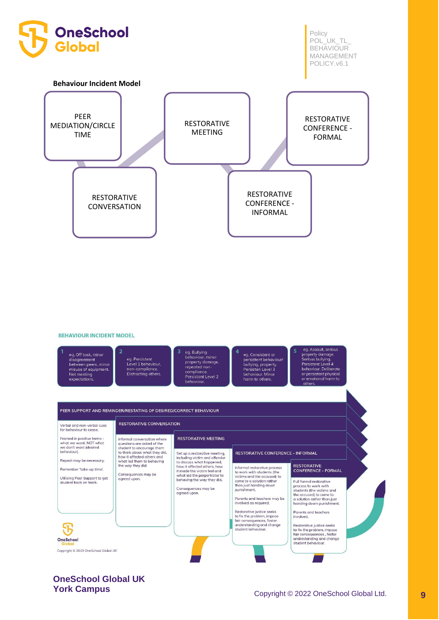